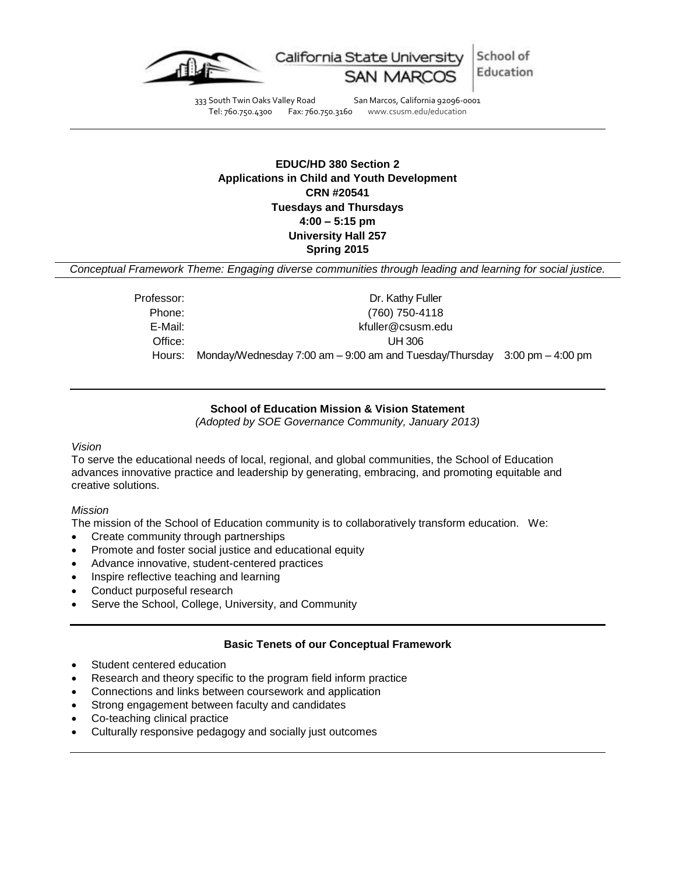

School of California State University Education

333 South Twin Oaks Valley Road San Marcos, California 92096-0001<br>Tel: 760.750.4300 Fax: 760.750.3160 www.csusm.edu/education Tel: 760.750.4300 Fax: 760.750.3160 www.csusm.edu/education

# **EDUC/HD 380 Section 2 Applications in Child and Youth Development CRN #20541 Tuesdays and Thursdays 4:00 – 5:15 pm University Hall 257 Spring 2015**

*Conceptual Framework Theme: Engaging diverse communities through leading and learning for social justice.*

| Professor: | Dr. Kathy Fuller                                                              |  |
|------------|-------------------------------------------------------------------------------|--|
| Phone:     | (760) 750-4118                                                                |  |
| E-Mail:    | kfuller@csusm.edu                                                             |  |
| Office:    | UH 306                                                                        |  |
| Hours:     | Monday/Wednesday 7:00 am $-$ 9:00 am and Tuesday/Thursday 3:00 pm $-$ 4:00 pm |  |

## **School of Education Mission & Vision Statement**

*(Adopted by SOE Governance Community, January 2013)*

#### *Vision*

To serve the educational needs of local, regional, and global communities, the School of Education advances innovative practice and leadership by generating, embracing, and promoting equitable and creative solutions.

#### *Mission*

The mission of the School of Education community is to collaboratively transform education. We:

- Create community through partnerships
- Promote and foster social justice and educational equity
- Advance innovative, student-centered practices
- Inspire reflective teaching and learning
- Conduct purposeful research
- Serve the School, College, University, and Community

## **Basic Tenets of our Conceptual Framework**

- Student centered education
- Research and theory specific to the program field inform practice
- Connections and links between coursework and application
- Strong engagement between faculty and candidates
- Co-teaching clinical practice
- Culturally responsive pedagogy and socially just outcomes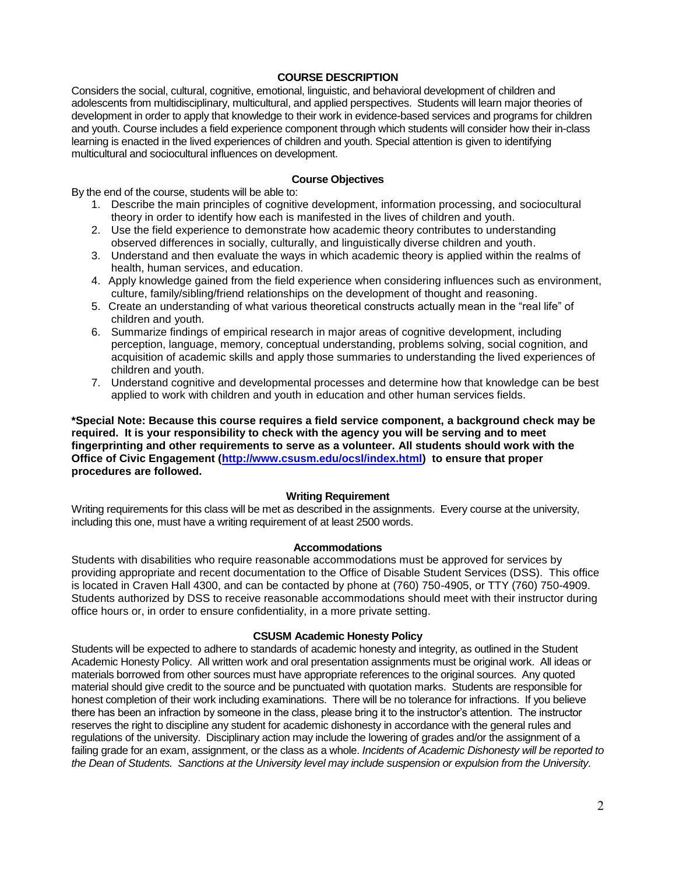### **COURSE DESCRIPTION**

Considers the social, cultural, cognitive, emotional, linguistic, and behavioral development of children and adolescents from multidisciplinary, multicultural, and applied perspectives. Students will learn major theories of development in order to apply that knowledge to their work in evidence-based services and programs for children and youth. Course includes a field experience component through which students will consider how their in-class learning is enacted in the lived experiences of children and youth. Special attention is given to identifying multicultural and sociocultural influences on development.

#### **Course Objectives**

By the end of the course, students will be able to:

- 1. Describe the main principles of cognitive development, information processing, and sociocultural theory in order to identify how each is manifested in the lives of children and youth.
- 2. Use the field experience to demonstrate how academic theory contributes to understanding observed differences in socially, culturally, and linguistically diverse children and youth.
- 3. Understand and then evaluate the ways in which academic theory is applied within the realms of health, human services, and education.
- 4. Apply knowledge gained from the field experience when considering influences such as environment, culture, family/sibling/friend relationships on the development of thought and reasoning.
- 5. Create an understanding of what various theoretical constructs actually mean in the "real life" of children and youth.
- 6. Summarize findings of empirical research in major areas of cognitive development, including perception, language, memory, conceptual understanding, problems solving, social cognition, and acquisition of academic skills and apply those summaries to understanding the lived experiences of children and youth.
- 7. Understand cognitive and developmental processes and determine how that knowledge can be best applied to work with children and youth in education and other human services fields.

**\*Special Note: Because this course requires a field service component, a background check may be required. It is your responsibility to check with the agency you will be serving and to meet fingerprinting and other requirements to serve as a volunteer. All students should work with the Office of Civic Engagement [\(http://www.csusm.edu/ocsl/index.html\)](http://www.csusm.edu/ocsl/index.html) to ensure that proper procedures are followed.**

#### **Writing Requirement**

Writing requirements for this class will be met as described in the assignments. Every course at the university, including this one, must have a writing requirement of at least 2500 words.

#### **Accommodations**

Students with disabilities who require reasonable accommodations must be approved for services by providing appropriate and recent documentation to the Office of Disable Student Services (DSS). This office is located in Craven Hall 4300, and can be contacted by phone at (760) 750-4905, or TTY (760) 750-4909. Students authorized by DSS to receive reasonable accommodations should meet with their instructor during office hours or, in order to ensure confidentiality, in a more private setting.

#### **CSUSM Academic Honesty Policy**

Students will be expected to adhere to standards of academic honesty and integrity, as outlined in the Student Academic Honesty Policy. All written work and oral presentation assignments must be original work. All ideas or materials borrowed from other sources must have appropriate references to the original sources. Any quoted material should give credit to the source and be punctuated with quotation marks. Students are responsible for honest completion of their work including examinations. There will be no tolerance for infractions. If you believe there has been an infraction by someone in the class, please bring it to the instructor's attention. The instructor reserves the right to discipline any student for academic dishonesty in accordance with the general rules and regulations of the university. Disciplinary action may include the lowering of grades and/or the assignment of a failing grade for an exam, assignment, or the class as a whole. *Incidents of Academic Dishonesty will be reported to the Dean of Students. Sanctions at the University level may include suspension or expulsion from the University.*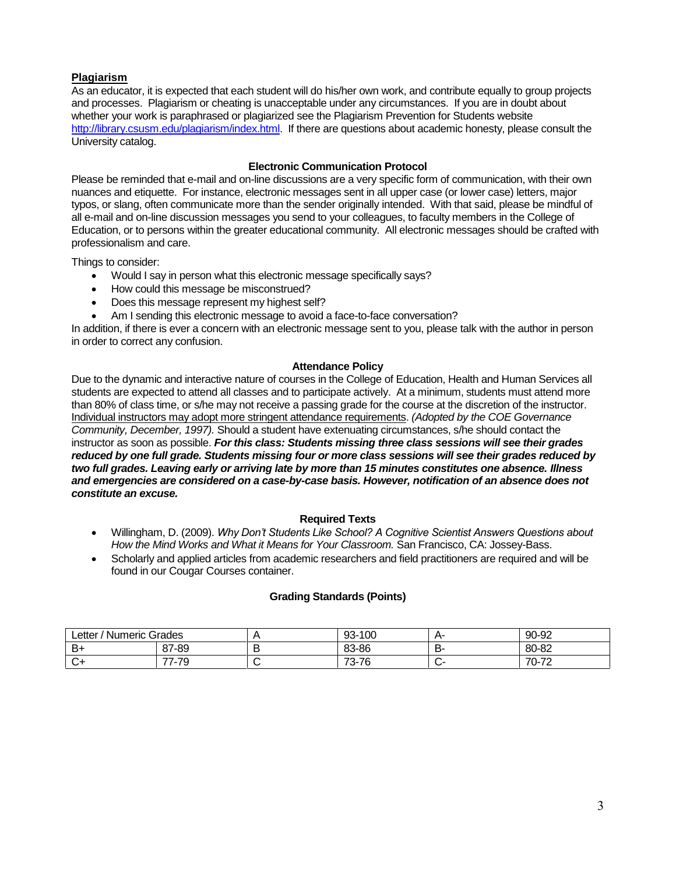## **Plagiarism**

As an educator, it is expected that each student will do his/her own work, and contribute equally to group projects and processes. Plagiarism or cheating is unacceptable under any circumstances. If you are in doubt about whether your work is paraphrased or plagiarized see the Plagiarism Prevention for Students website [http://library.csusm.edu/plagiarism/index.html.](http://library.csusm.edu/plagiarism/index.html) If there are questions about academic honesty, please consult the University catalog.

## **Electronic Communication Protocol**

Please be reminded that e-mail and on-line discussions are a very specific form of communication, with their own nuances and etiquette. For instance, electronic messages sent in all upper case (or lower case) letters, major typos, or slang, often communicate more than the sender originally intended. With that said, please be mindful of all e-mail and on-line discussion messages you send to your colleagues, to faculty members in the College of Education, or to persons within the greater educational community. All electronic messages should be crafted with professionalism and care.

Things to consider:

- Would I say in person what this electronic message specifically says?
- How could this message be misconstrued?
- Does this message represent my highest self?
- Am I sending this electronic message to avoid a face-to-face conversation?

In addition, if there is ever a concern with an electronic message sent to you, please talk with the author in person in order to correct any confusion.

### **Attendance Policy**

Due to the dynamic and interactive nature of courses in the College of Education, Health and Human Services all students are expected to attend all classes and to participate actively. At a minimum, students must attend more than 80% of class time, or s/he may not receive a passing grade for the course at the discretion of the instructor. Individual instructors may adopt more stringent attendance requirements. *(Adopted by the COE Governance Community, December, 1997).* Should a student have extenuating circumstances, s/he should contact the instructor as soon as possible. *For this class: Students missing three class sessions will see their grades reduced by one full grade. Students missing four or more class sessions will see their grades reduced by two full grades. Leaving early or arriving late by more than 15 minutes constitutes one absence. Illness and emergencies are considered on a case-by-case basis. However, notification of an absence does not constitute an excuse.* 

#### **Required Texts**

- Willingham, D. (2009). *Why Don't Students Like School? A Cognitive Scientist Answers Questions about How the Mind Works and What it Means for Your Classroom.* San Francisco, CA: Jossey-Bass.
- Scholarly and applied articles from academic researchers and field practitioners are required and will be found in our Cougar Courses container.

#### **Grading Standards (Points)**

| / Numeric Grades<br>∟etter |                                       | $\cdots$ | 100<br>$93-$ | д.      | 90-92                                |
|----------------------------|---------------------------------------|----------|--------------|---------|--------------------------------------|
| B+                         | 87-89                                 |          | 83-86        | --<br>◡ | 80-82                                |
|                            | $\overline{\phantom{a}}$<br>`చ<br>. . |          | 73-76        |         | $70 - 7$<br>$\overline{\phantom{a}}$ |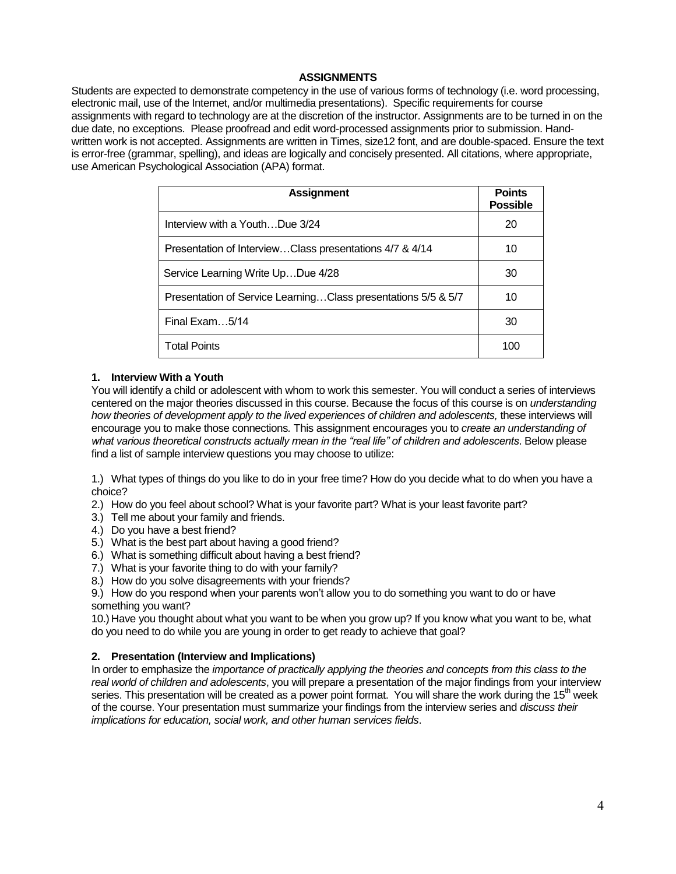### **ASSIGNMENTS**

Students are expected to demonstrate competency in the use of various forms of technology (i.e. word processing, electronic mail, use of the Internet, and/or multimedia presentations). Specific requirements for course assignments with regard to technology are at the discretion of the instructor. Assignments are to be turned in on the due date, no exceptions. Please proofread and edit word-processed assignments prior to submission. Handwritten work is not accepted. Assignments are written in Times, size12 font, and are double-spaced. Ensure the text is error-free (grammar, spelling), and ideas are logically and concisely presented. All citations, where appropriate, use American Psychological Association (APA) format.

| <b>Assignment</b>                                              | <b>Points</b><br><b>Possible</b> |
|----------------------------------------------------------------|----------------------------------|
| Interview with a YouthDue 3/24                                 | 20                               |
| Presentation of InterviewClass presentations 4/7 & 4/14        | 10                               |
| Service Learning Write UpDue 4/28                              | 30                               |
| Presentation of Service Learning Class presentations 5/5 & 5/7 | 10                               |
| Final Exam 5/14                                                | 30                               |
| <b>Total Points</b>                                            | 100                              |

#### **1. Interview With a Youth**

You will identify a child or adolescent with whom to work this semester. You will conduct a series of interviews centered on the major theories discussed in this course. Because the focus of this course is on *understanding how theories of development apply to the lived experiences of children and adolescents, these interviews will* encourage you to make those connections*.* This assignment encourages you to *create an understanding of what various theoretical constructs actually mean in the "real life" of children and adolescents*. Below please find a list of sample interview questions you may choose to utilize:

1.) What types of things do you like to do in your free time? How do you decide what to do when you have a choice?

- 2.) How do you feel about school? What is your favorite part? What is your least favorite part?
- 3.) Tell me about your family and friends.
- 4.) Do you have a best friend?
- 5.) What is the best part about having a good friend?
- 6.) What is something difficult about having a best friend?
- 7.) What is your favorite thing to do with your family?
- 8.) How do you solve disagreements with your friends?
- 9.) How do you respond when your parents won't allow you to do something you want to do or have something you want?

10.) Have you thought about what you want to be when you grow up? If you know what you want to be, what do you need to do while you are young in order to get ready to achieve that goal?

#### **2. Presentation (Interview and Implications)**

In order to emphasize the *importance of practically applying the theories and concepts from this class to the real world of children and adolescents*, you will prepare a presentation of the major findings from your interview series. This presentation will be created as a power point format. You will share the work during the 15<sup>th</sup> week of the course. Your presentation must summarize your findings from the interview series and *discuss their implications for education, social work, and other human services fields*.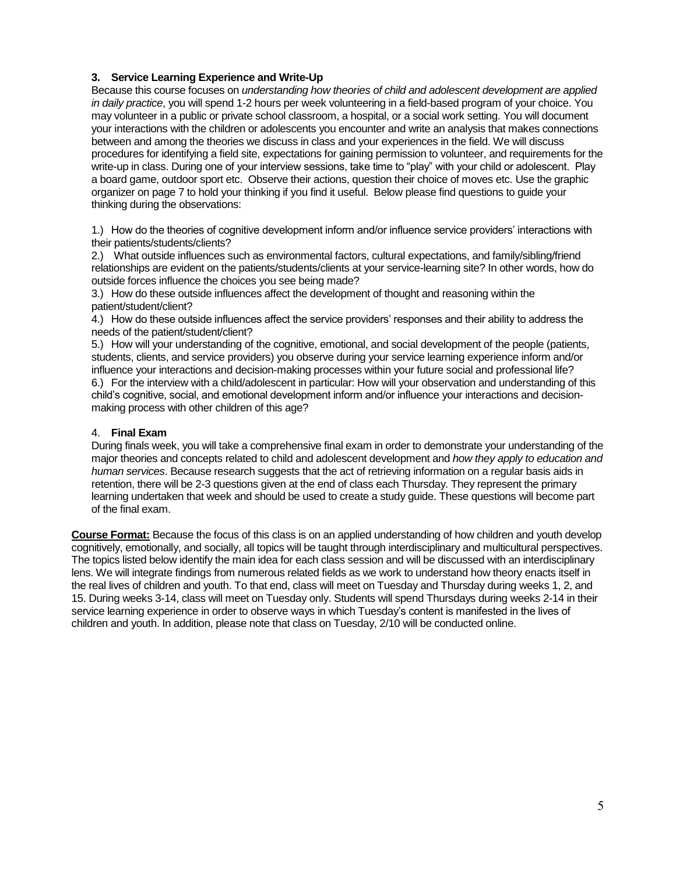### **3. Service Learning Experience and Write-Up**

Because this course focuses on *understanding how theories of child and adolescent development are applied in daily practice*, you will spend 1-2 hours per week volunteering in a field-based program of your choice. You may volunteer in a public or private school classroom, a hospital, or a social work setting. You will document your interactions with the children or adolescents you encounter and write an analysis that makes connections between and among the theories we discuss in class and your experiences in the field. We will discuss procedures for identifying a field site, expectations for gaining permission to volunteer, and requirements for the write-up in class. During one of your interview sessions, take time to "play" with your child or adolescent. Play a board game, outdoor sport etc. Observe their actions, question their choice of moves etc. Use the graphic organizer on page 7 to hold your thinking if you find it useful. Below please find questions to guide your thinking during the observations:

1.) How do the theories of cognitive development inform and/or influence service providers' interactions with their patients/students/clients?

2.) What outside influences such as environmental factors, cultural expectations, and family/sibling/friend relationships are evident on the patients/students/clients at your service-learning site? In other words, how do outside forces influence the choices you see being made?

3.) How do these outside influences affect the development of thought and reasoning within the patient/student/client?

4.) How do these outside influences affect the service providers' responses and their ability to address the needs of the patient/student/client?

5.) How will your understanding of the cognitive, emotional, and social development of the people (patients, students, clients, and service providers) you observe during your service learning experience inform and/or influence your interactions and decision-making processes within your future social and professional life? 6.) For the interview with a child/adolescent in particular: How will your observation and understanding of this child's cognitive, social, and emotional development inform and/or influence your interactions and decisionmaking process with other children of this age?

### 4. **Final Exam**

During finals week, you will take a comprehensive final exam in order to demonstrate your understanding of the major theories and concepts related to child and adolescent development and *how they apply to education and human services*. Because research suggests that the act of retrieving information on a regular basis aids in retention, there will be 2-3 questions given at the end of class each Thursday. They represent the primary learning undertaken that week and should be used to create a study guide. These questions will become part of the final exam.

**Course Format:** Because the focus of this class is on an applied understanding of how children and youth develop cognitively, emotionally, and socially, all topics will be taught through interdisciplinary and multicultural perspectives. The topics listed below identify the main idea for each class session and will be discussed with an interdisciplinary lens. We will integrate findings from numerous related fields as we work to understand how theory enacts itself in the real lives of children and youth. To that end, class will meet on Tuesday and Thursday during weeks 1, 2, and 15. During weeks 3-14, class will meet on Tuesday only. Students will spend Thursdays during weeks 2-14 in their service learning experience in order to observe ways in which Tuesday's content is manifested in the lives of children and youth. In addition, please note that class on Tuesday, 2/10 will be conducted online.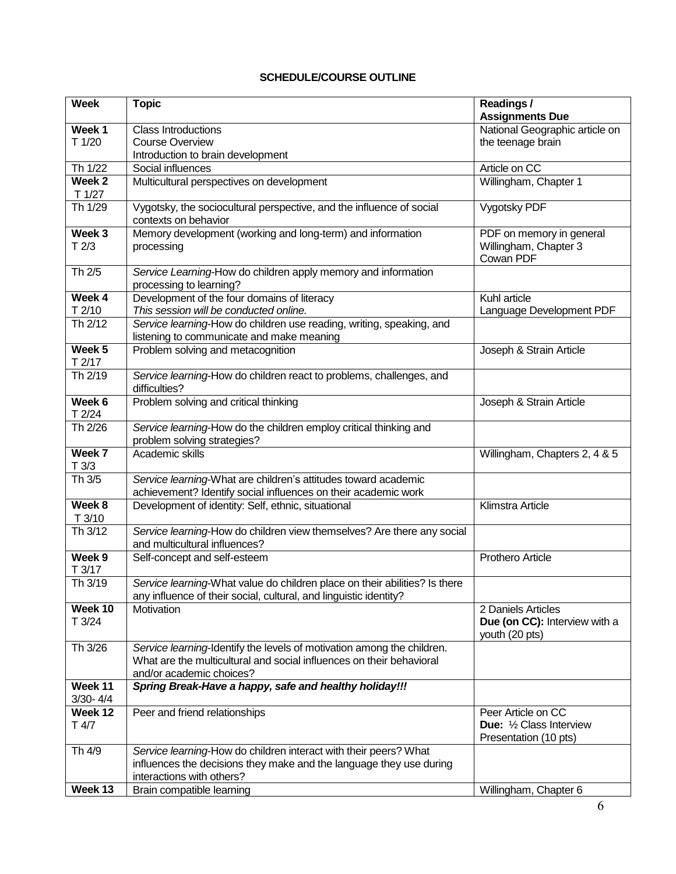## **SCHEDULE/COURSE OUTLINE**

| Week                        | <b>Topic</b>                                                                                                                                    | Readings/<br><b>Assignments Due</b>                                |
|-----------------------------|-------------------------------------------------------------------------------------------------------------------------------------------------|--------------------------------------------------------------------|
| Week 1                      | Class Introductions                                                                                                                             | National Geographic article on                                     |
| T 1/20                      | <b>Course Overview</b>                                                                                                                          | the teenage brain                                                  |
|                             | Introduction to brain development                                                                                                               |                                                                    |
| Th 1/22                     | Social influences                                                                                                                               | Article on CC                                                      |
| Week <sub>2</sub><br>T 1/27 | Multicultural perspectives on development                                                                                                       | Willingham, Chapter 1                                              |
| Th 1/29                     | Vygotsky, the sociocultural perspective, and the influence of social<br>contexts on behavior                                                    | Vygotsky PDF                                                       |
| Week <sub>3</sub>           | Memory development (working and long-term) and information                                                                                      | PDF on memory in general                                           |
| T2/3                        | processing                                                                                                                                      | Willingham, Chapter 3<br>Cowan PDF                                 |
| Th 2/5                      | Service Learning-How do children apply memory and information<br>processing to learning?                                                        |                                                                    |
| Week 4                      | Development of the four domains of literacy                                                                                                     | Kuhl article                                                       |
| T2/10                       | This session will be conducted online.                                                                                                          | Language Development PDF                                           |
| Th $2/12$                   | Service learning-How do children use reading, writing, speaking, and<br>listening to communicate and make meaning                               |                                                                    |
| Week <sub>5</sub>           | Problem solving and metacognition                                                                                                               | Joseph & Strain Article                                            |
| T2/17                       |                                                                                                                                                 |                                                                    |
| Th 2/19                     | Service learning-How do children react to problems, challenges, and<br>difficulties?                                                            |                                                                    |
| Week 6<br>T2/24             | Problem solving and critical thinking                                                                                                           | Joseph & Strain Article                                            |
| Th 2/26                     | Service learning-How do the children employ critical thinking and<br>problem solving strategies?                                                |                                                                    |
| Week 7                      | Academic skills                                                                                                                                 | Willingham, Chapters 2, 4 & 5                                      |
| T3/3                        |                                                                                                                                                 |                                                                    |
| Th 3/5                      | Service learning-What are children's attitudes toward academic<br>achievement? Identify social influences on their academic work                |                                                                    |
| Week 8                      | Development of identity: Self, ethnic, situational                                                                                              | Klimstra Article                                                   |
| T3/10                       |                                                                                                                                                 |                                                                    |
| Th 3/12                     | Service learning-How do children view themselves? Are there any social<br>and multicultural influences?                                         |                                                                    |
| Week <sub>9</sub>           | Self-concept and self-esteem                                                                                                                    | Prothero Article                                                   |
| T 3/17                      |                                                                                                                                                 |                                                                    |
| Th 3/19                     | Service learning-What value do children place on their abilities? Is there<br>any influence of their social, cultural, and linguistic identity? |                                                                    |
| Week 10                     | Motivation                                                                                                                                      | 2 Daniels Articles                                                 |
| T3/24                       |                                                                                                                                                 | Due (on CC): Interview with a<br>youth (20 pts)                    |
| Th 3/26                     | Service learning-Identify the levels of motivation among the children.                                                                          |                                                                    |
|                             | What are the multicultural and social influences on their behavioral                                                                            |                                                                    |
|                             | and/or academic choices?                                                                                                                        |                                                                    |
| Week 11<br>$3/30 - 4/4$     | Spring Break-Have a happy, safe and healthy holiday!!!                                                                                          |                                                                    |
| Week 12                     | Peer and friend relationships                                                                                                                   | Peer Article on CC                                                 |
| T 4/7                       |                                                                                                                                                 | <b>Due:</b> $\frac{1}{2}$ Class Interview<br>Presentation (10 pts) |
| Th 4/9                      | Service learning-How do children interact with their peers? What                                                                                |                                                                    |
|                             | influences the decisions they make and the language they use during                                                                             |                                                                    |
|                             | interactions with others?                                                                                                                       |                                                                    |
| Week 13                     | Brain compatible learning                                                                                                                       | Willingham, Chapter 6                                              |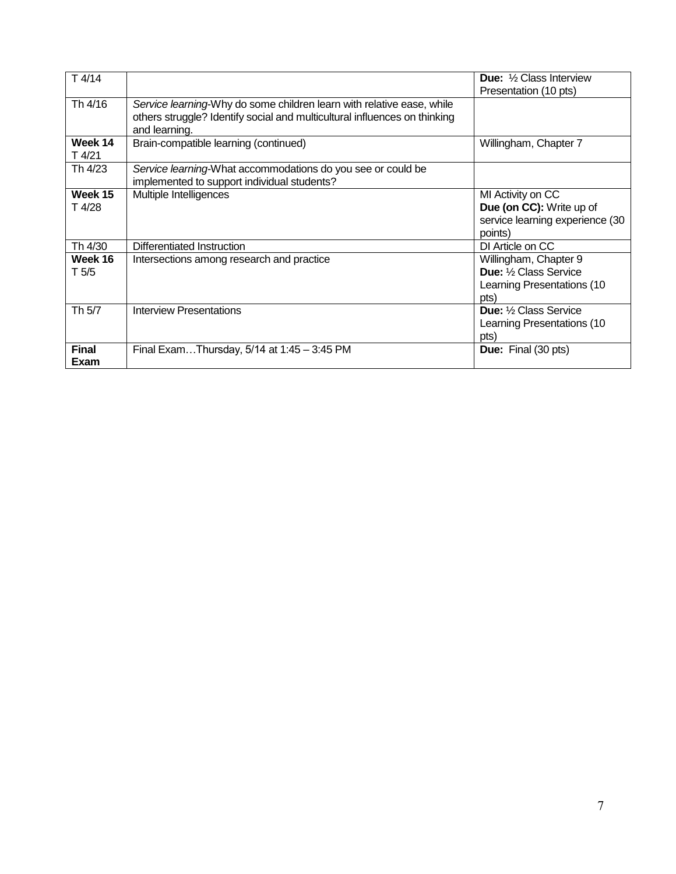| T4/14                |                                                                                                                                                                     | <b>Due:</b> 1/2 Class Interview<br>Presentation (10 pts)                                     |
|----------------------|---------------------------------------------------------------------------------------------------------------------------------------------------------------------|----------------------------------------------------------------------------------------------|
| Th 4/16              | Service learning-Why do some children learn with relative ease, while<br>others struggle? Identify social and multicultural influences on thinking<br>and learning. |                                                                                              |
| Week 14<br>T 4/21    | Brain-compatible learning (continued)                                                                                                                               | Willingham, Chapter 7                                                                        |
| Th 4/23              | Service learning-What accommodations do you see or could be<br>implemented to support individual students?                                                          |                                                                                              |
| Week 15<br>T 4/28    | Multiple Intelligences                                                                                                                                              | MI Activity on CC<br>Due (on CC): Write up of<br>service learning experience (30<br>points)  |
| Th 4/30              | Differentiated Instruction                                                                                                                                          | DI Article on CC                                                                             |
| Week 16<br>T 5/5     | Intersections among research and practice                                                                                                                           | Willingham, Chapter 9<br><b>Due:</b> 1/2 Class Service<br>Learning Presentations (10<br>pts) |
| Th 5/7               | <b>Interview Presentations</b>                                                                                                                                      | <b>Due:</b> 1/2 Class Service<br>Learning Presentations (10<br>pts)                          |
| <b>Final</b><br>Exam | Final ExamThursday, 5/14 at 1:45 - 3:45 PM                                                                                                                          | Due: Final (30 pts)                                                                          |